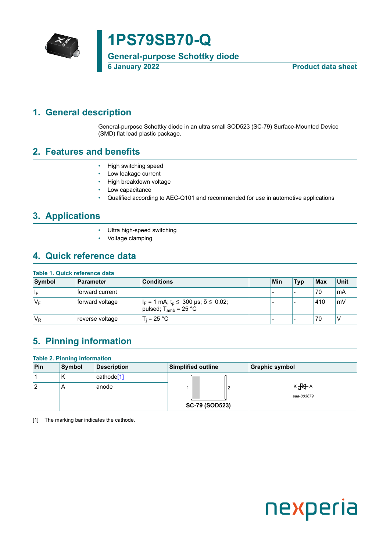

# **1PS79SB70-Q**

**General-purpose Schottky diode**

## <span id="page-0-1"></span>**1. General description**

<span id="page-0-0"></span>General-purpose Schottky diode in an ultra small SOD523 (SC-79) Surface-Mounted Device (SMD) flat lead plastic package.

### <span id="page-0-2"></span>**2. Features and benefits**

- High switching speed
- Low leakage current
- High breakdown voltage
- Low capacitance
- Qualified according to AEC-Q101 and recommended for use in automotive applications

### <span id="page-0-3"></span>**3. Applications**

- Ultra high-speed switching
- Voltage clamping

## <span id="page-0-4"></span>**4. Quick reference data**

#### **Table 1. Quick reference data**

| Symbol | <b>Parameter</b> | <b>Conditions</b>                                                                 | Min | <b>Typ</b>               | $ $ Max | <b>Unit</b> |
|--------|------------------|-----------------------------------------------------------------------------------|-----|--------------------------|---------|-------------|
| ∣∣⊧    | forward current  |                                                                                   | -   | $\overline{\phantom{a}}$ | 70      | ˈmA         |
| 'V⊧    | forward voltage  | $ I_F = 1$ mA; $t_p \le 300$ µs; $\delta \le 0.02$ ;<br>pulsed; $T_{amb}$ = 25 °C |     |                          | 410     | mV          |
| $V_R$  | reverse voltage  | $T_i = 25 °C$                                                                     | -   | $\overline{\phantom{a}}$ | 70      | ν           |

## <span id="page-0-5"></span>**5. Pinning information**

|     | <b>Table 2. Pinning information</b> |                        |                           |                       |
|-----|-------------------------------------|------------------------|---------------------------|-----------------------|
| Pin | Symbol                              | <b>Description</b>     | <b>Simplified outline</b> | <b>Graphic symbol</b> |
|     | N                                   | cathode <sup>[1]</sup> |                           |                       |
| 2   | $\mathsf{A}$                        | anode                  | ി                         | $K + A$<br>aaa-003679 |
|     |                                     |                        | <b>SC-79 (SOD523)</b>     |                       |

[1] The marking bar indicates the cathode.

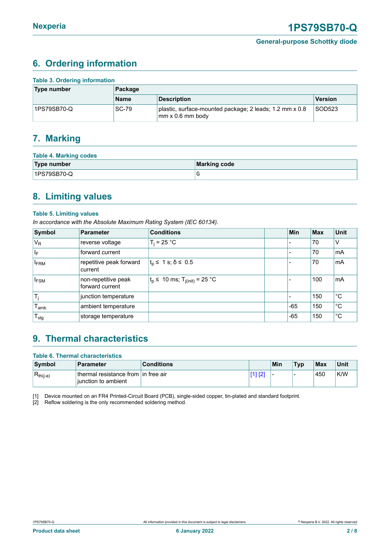## <span id="page-1-1"></span><span id="page-1-0"></span>**6. Ordering information**

| <b>Table 3. Ordering information</b> |             |                                                                                                        |                |  |  |  |
|--------------------------------------|-------------|--------------------------------------------------------------------------------------------------------|----------------|--|--|--|
| Type number                          | Package     |                                                                                                        |                |  |  |  |
|                                      | <b>Name</b> | <b>Description</b>                                                                                     | <b>Version</b> |  |  |  |
| 1PS79SB70-Q                          | $ SC-79 $   | plastic, surface-mounted package; 2 leads; 1.2 mm x 0.8<br>$\mathsf{m}\times 0.6 \mathsf{m}\times 0.6$ | SOD523         |  |  |  |

## <span id="page-1-2"></span>**7. Marking**

| <b>Table 4. Marking codes</b> |                     |  |  |  |  |
|-------------------------------|---------------------|--|--|--|--|
| Type number                   | <b>Marking code</b> |  |  |  |  |
| 1PS79SB70-Q                   | o                   |  |  |  |  |

## <span id="page-1-3"></span>**8. Limiting values**

#### **Table 5. Limiting values**

*In accordance with the Absolute Maximum Rating System (IEC 60134).*

| Symbol                  | Parameter                              | <b>Conditions</b>                           | Min   | <b>Max</b> | <b>Unit</b> |
|-------------------------|----------------------------------------|---------------------------------------------|-------|------------|-------------|
| $V_R$                   | reverse voltage                        | $T_i = 25 °C$                               |       | 70         | V           |
| $\mathsf{I}_\mathsf{F}$ | forward current                        |                                             |       | 70         | mA          |
| <b>IFRM</b>             | repetitive peak forward<br>current     | $t_0 \leq 1$ s; $\delta \leq 0.5$           |       | 70         | mA          |
| $I_{FSM}$               | non-repetitive peak<br>forward current | $t_p$ ≤ 10 ms; T <sub>j(init)</sub> = 25 °C |       | 100        | mA          |
| $\mathsf{T}_\mathsf{i}$ | junction temperature                   |                                             |       | 150        | °С          |
| l <sub>amb</sub>        | ambient temperature                    |                                             | -65   | 150        | $^{\circ}C$ |
| $T_{\text{stg}}$        | storage temperature                    |                                             | $-65$ | 150        | $^{\circ}C$ |

## <span id="page-1-4"></span>**9. Thermal characteristics**

| <b>Table 6. Thermal characteristics</b> |                                                             |                   |         |     |            |     |      |
|-----------------------------------------|-------------------------------------------------------------|-------------------|---------|-----|------------|-----|------|
| Symbol                                  | <b>Parameter</b>                                            | <b>Conditions</b> |         | Min | <b>Typ</b> | Max | Unit |
| $R_{th(j-a)}$                           | thermal resistance from in free air<br>liunction to ambient |                   | [1] [2] | -   | -          | 450 | K/W  |

[1] Device mounted on an FR4 Printed-Circuit Board (PCB), single-sided copper, tin-plated and standard footprint.

[2] Reflow soldering is the only recommended soldering method.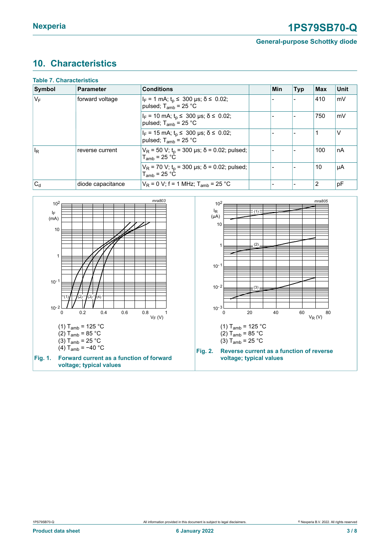## <span id="page-2-0"></span>**10. Characteristics**

|                | <b>Table 7. Characteristics</b> |                                                                                      |     |            |            |             |
|----------------|---------------------------------|--------------------------------------------------------------------------------------|-----|------------|------------|-------------|
| Symbol         | Parameter                       | <b>Conditions</b>                                                                    | Min | <b>Typ</b> | <b>Max</b> | <b>Unit</b> |
| V <sub>F</sub> | forward voltage                 | $I_F = 1$ mA; $t_p \le 300$ µs; $\delta \le 0.02$ ;<br>pulsed; $T_{amb}$ = 25 °C     |     |            | 410        | mV          |
|                |                                 | $I_F$ = 10 mA; $t_p$ ≤ 300 µs; $\delta$ ≤ 0.02;<br>pulsed; $T_{amb}$ = 25 °C         |     |            | 750        | mV          |
|                |                                 | $I_F = 15$ mA; $t_p \le 300$ µs; $\delta \le 0.02$ ;<br>pulsed; $T_{amb}$ = 25 °C    |     |            |            | V           |
| $I_R$          | reverse current                 | $V_R$ = 50 V; t <sub>p</sub> = 300 µs; $\delta$ = 0.02; pulsed;<br>$T_{amb}$ = 25 °C |     |            | 100        | nA          |
|                |                                 | $V_R$ = 70 V; t <sub>p</sub> = 300 µs; $\delta$ = 0.02; pulsed;<br>$T_{amb}$ = 25 °C |     |            | 10         | μA          |
| $ C_d $        | diode capacitance               | $V_R$ = 0 V; f = 1 MHz; T <sub>amb</sub> = 25 °C                                     |     |            | 2          | pF          |

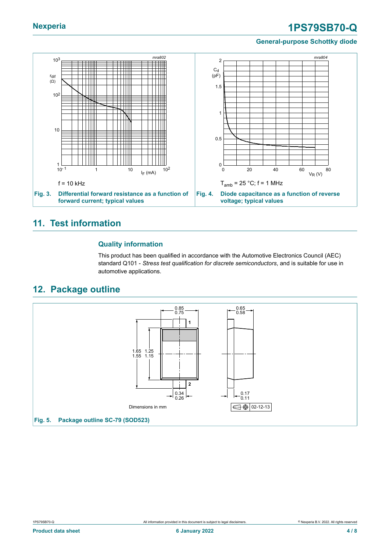## **Nexperia 1PS79SB70-Q**

#### **General-purpose Schottky diode**



### <span id="page-3-0"></span>**11. Test information**

#### **Quality information**

This product has been qualified in accordance with the Automotive Electronics Council (AEC) standard Q101 - *Stress test qualification for discrete semiconductors*, and is suitable for use in automotive applications.

### <span id="page-3-1"></span>**12. Package outline**

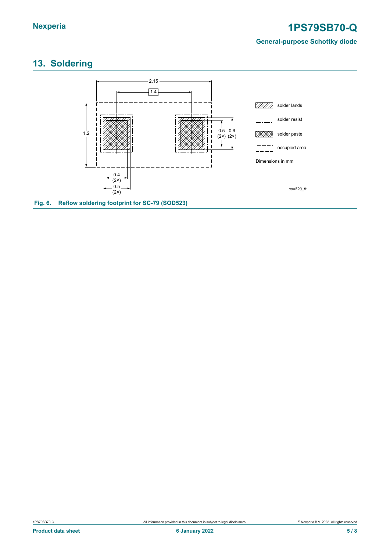## <span id="page-4-0"></span>**13. Soldering**

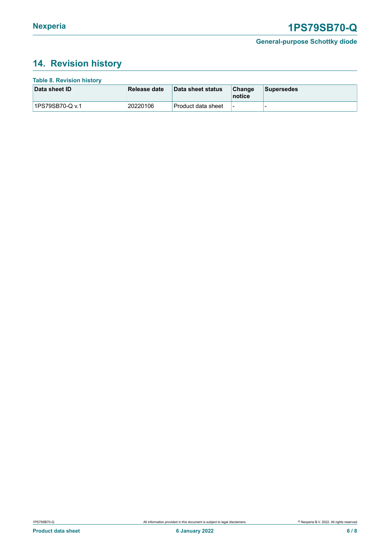## <span id="page-5-0"></span>**14. Revision history**

| <b>Table 8. Revision history</b> |              |                      |                          |                   |
|----------------------------------|--------------|----------------------|--------------------------|-------------------|
| Data sheet ID                    | Release date | Data sheet status    | Change<br>notice         | <b>Supersedes</b> |
| 1PS79SB70-Q v.1                  | 20220106     | ∣Product data sheet_ | $\overline{\phantom{a}}$ | -                 |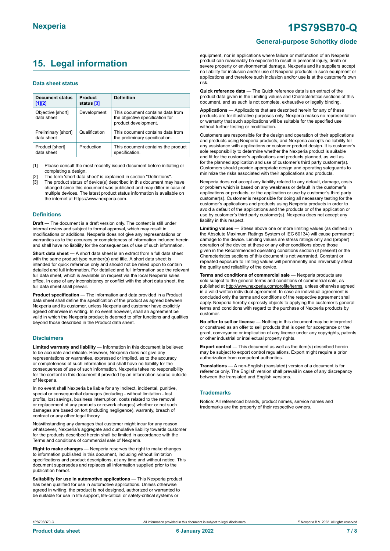## <span id="page-6-0"></span>**15. Legal information**

#### **Data sheet status**

| Document status<br>$[1]$ [2]      | Product<br>status [3] | <b>Definition</b>                                                                           |
|-----------------------------------|-----------------------|---------------------------------------------------------------------------------------------|
| Objective [short]<br>data sheet   | Development           | This document contains data from<br>the objective specification for<br>product development. |
| Preliminary [short]<br>data sheet | Qualification         | This document contains data from<br>the preliminary specification.                          |
| Product [short]<br>data sheet     | Production            | This document contains the product<br>specification.                                        |

[1] Please consult the most recently issued document before initiating or completing a design.

The term 'short data sheet' is explained in section "Definitions"

[3] The product status of device(s) described in this document may have changed since this document was published and may differ in case of multiple devices. The latest product status information is available on the internet at [https://www.nexperia.com.](https://www.nexperia.com)

#### **Definitions**

**Draft** — The document is a draft version only. The content is still under internal review and subject to formal approval, which may result in modifications or additions. Nexperia does not give any representations or warranties as to the accuracy or completeness of information included herein and shall have no liability for the consequences of use of such information.

**Short data sheet** — A short data sheet is an extract from a full data sheet with the same product type number(s) and title. A short data sheet is intended for quick reference only and should not be relied upon to contain detailed and full information. For detailed and full information see the relevant full data sheet, which is available on request via the local Nexperia sales office. In case of any inconsistency or conflict with the short data sheet, the full data sheet shall prevail.

**Product specification** — The information and data provided in a Product data sheet shall define the specification of the product as agreed between Nexperia and its customer, unless Nexperia and customer have explicitly agreed otherwise in writing. In no event however, shall an agreement be valid in which the Nexperia product is deemed to offer functions and qualities beyond those described in the Product data sheet.

#### **Disclaimers**

**Limited warranty and liability** — Information in this document is believed to be accurate and reliable. However, Nexperia does not give any representations or warranties, expressed or implied, as to the accuracy or completeness of such information and shall have no liability for the consequences of use of such information. Nexperia takes no responsibility for the content in this document if provided by an information source outside of Nexperia.

In no event shall Nexperia be liable for any indirect, incidental, punitive, special or consequential damages (including - without limitation - lost profits, lost savings, business interruption, costs related to the removal or replacement of any products or rework charges) whether or not such damages are based on tort (including negligence), warranty, breach of contract or any other legal theory.

Notwithstanding any damages that customer might incur for any reason whatsoever, Nexperia's aggregate and cumulative liability towards customer for the products described herein shall be limited in accordance with the Terms and conditions of commercial sale of Nexperia.

**Right to make changes** — Nexperia reserves the right to make changes to information published in this document, including without limitation specifications and product descriptions, at any time and without notice. This document supersedes and replaces all information supplied prior to the publication hereof.

**Suitability for use in automotive applications** — This Nexperia product has been qualified for use in automotive applications. Unless otherwise agreed in writing, the product is not designed, authorized or warranted to be suitable for use in life support, life-critical or safety-critical systems or

#### **General-purpose Schottky diode**

equipment, nor in applications where failure or malfunction of an Nexperia product can reasonably be expected to result in personal injury, death or severe property or environmental damage. Nexperia and its suppliers accept no liability for inclusion and/or use of Nexperia products in such equipment or applications and therefore such inclusion and/or use is at the customer's own risk.

**Quick reference data** — The Quick reference data is an extract of the product data given in the Limiting values and Characteristics sections of this document, and as such is not complete, exhaustive or legally binding.

**Applications** — Applications that are described herein for any of these products are for illustrative purposes only. Nexperia makes no representation or warranty that such applications will be suitable for the specified use without further testing or modification.

Customers are responsible for the design and operation of their applications and products using Nexperia products, and Nexperia accepts no liability for any assistance with applications or customer product design. It is customer's sole responsibility to determine whether the Nexperia product is suitable and fit for the customer's applications and products planned, as well as for the planned application and use of customer's third party customer(s). Customers should provide appropriate design and operating safeguards to minimize the risks associated with their applications and products.

Nexperia does not accept any liability related to any default, damage, costs or problem which is based on any weakness or default in the customer's applications or products, or the application or use by customer's third party customer(s). Customer is responsible for doing all necessary testing for the customer's applications and products using Nexperia products in order to avoid a default of the applications and the products or of the application or use by customer's third party customer(s). Nexperia does not accept any liability in this respect.

**Limiting values** — Stress above one or more limiting values (as defined in the Absolute Maximum Ratings System of IEC 60134) will cause permanent damage to the device. Limiting values are stress ratings only and (proper) operation of the device at these or any other conditions above those given in the Recommended operating conditions section (if present) or the Characteristics sections of this document is not warranted. Constant or repeated exposure to limiting values will permanently and irreversibly affect the quality and reliability of the device.

**Terms and conditions of commercial sale** — Nexperia products are sold subject to the general terms and conditions of commercial sale, as published at [http://www.nexperia.com/profile/terms,](http://www.nexperia.com/profile/terms) unless otherwise agreed in a valid written individual agreement. In case an individual agreement is concluded only the terms and conditions of the respective agreement shall apply. Nexperia hereby expressly objects to applying the customer's general terms and conditions with regard to the purchase of Nexperia products by customer.

**No offer to sell or license** — Nothing in this document may be interpreted or construed as an offer to sell products that is open for acceptance or the grant, conveyance or implication of any license under any copyrights, patents or other industrial or intellectual property rights.

**Export control** — This document as well as the item(s) described herein may be subject to export control regulations. Export might require a prior authorization from competent authorities.

**Translations** — A non-English (translated) version of a document is for reference only. The English version shall prevail in case of any discrepancy between the translated and English versions.

#### **Trademarks**

Notice: All referenced brands, product names, service names and trademarks are the property of their respective owners.